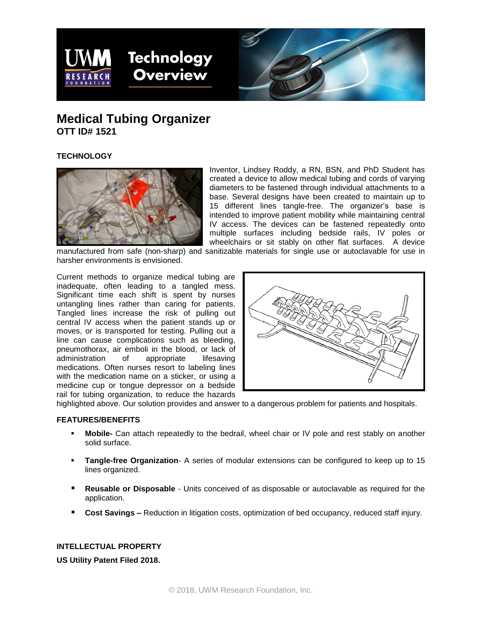



# **Medical Tubing Organizer OTT ID# 1521**

# **TECHNOLOGY**



Inventor, Lindsey Roddy, a RN, BSN, and PhD Student has created a device to allow medical tubing and cords of varying diameters to be fastened through individual attachments to a base. Several designs have been created to maintain up to 15 different lines tangle-free. The organizer's base is intended to improve patient mobility while maintaining central IV access. The devices can be fastened repeatedly onto multiple surfaces including bedside rails, IV poles or wheelchairs or sit stably on other flat surfaces. A device

manufactured from safe (non-sharp) and sanitizable materials for single use or autoclavable for use in harsher environments is envisioned.

Current methods to organize medical tubing are inadequate, often leading to a tangled mess. Significant time each shift is spent by nurses untangling lines rather than caring for patients. Tangled lines increase the risk of pulling out central IV access when the patient stands up or moves, or is transported for testing. Pulling out a line can cause complications such as bleeding, pneumothorax, air emboli in the blood, or lack of administration of appropriate lifesaving administration of appropriate lifesaving medications. Often nurses resort to labeling lines with the medication name on a sticker, or using a medicine cup or tongue depressor on a bedside rail for tubing organization, to reduce the hazards



highlighted above. Our solution provides and answer to a dangerous problem for patients and hospitals.

# **FEATURES/BENEFITS**

- **Mobile-** Can attach repeatedly to the bedrail, wheel chair or IV pole and rest stably on another solid surface.
- **Tangle-free Organization** A series of modular extensions can be configured to keep up to 15 lines organized.
- **Reusable or Disposable** Units conceived of as disposable or autoclavable as required for the application.
- **Cost Savings –** Reduction in litigation costs, optimization of bed occupancy, reduced staff injury.

# **INTELLECTUAL PROPERTY**

**US Utility Patent Filed 2018.**